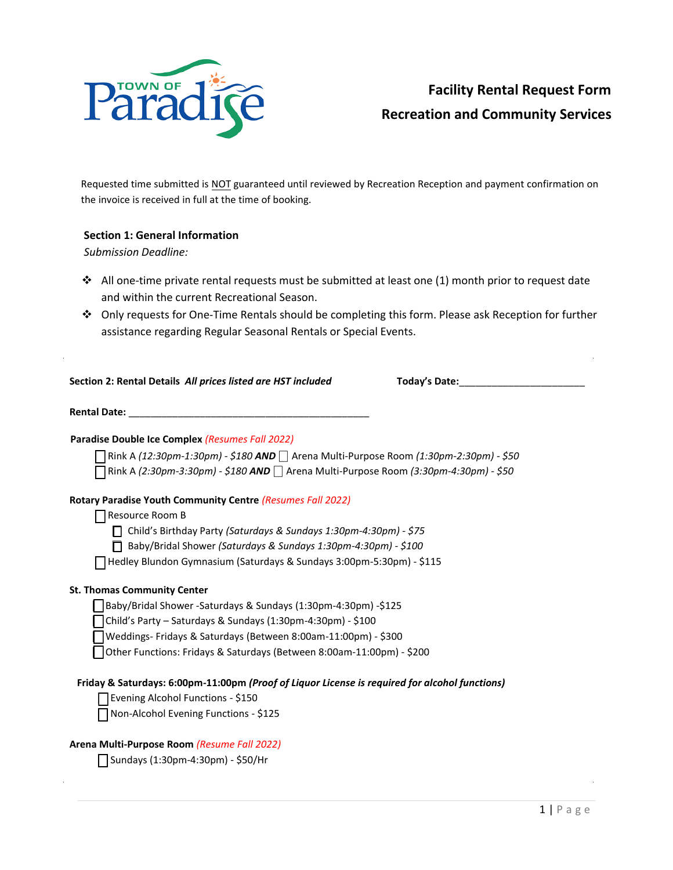

# **Facility Rental Request Form Recreation and Community Services**

Requested time submitted is NOT guaranteed until reviewed by Recreation Reception and payment confirmation on the invoice is received in full at the time of booking.

### **Section 1: General Information**

*Submission Deadline:* 

- ❖ All one-time private rental requests must be submitted at least one (1) month prior to request date and within the current Recreational Season.
- ❖ Only requests for One-Time Rentals should be completing this form. Please ask Reception for further assistance regarding Regular Seasonal Rentals or Special Events.

| Section 2: Rental Details All prices listed are HST included |  |
|--------------------------------------------------------------|--|
|--------------------------------------------------------------|--|

**Section 2: Rental Details** *All prices listed are HST included* **Today's Date:**\_\_\_\_\_\_\_\_\_\_\_\_\_\_\_\_\_\_\_\_\_\_\_

**Rental Date: with a set of the set of the set of the set of the set of the set of the set of the set of the set of the set of the set of the set of the set of the set of the set of the set of the set of the set of the s** 

#### **Paradise Double Ice Complex** *(Resumes Fall 2022)*

⎕ Rink A *(12:30pm-1:30pm) - \$180 AND* ⎕ Arena Multi-Purpose Room *(1:30pm-2:30pm) - \$50* ⎕ Rink A *(2:30pm-3:30pm) - \$180 AND* ⎕ Arena Multi-Purpose Room *(3:30pm-4:30pm) - \$50*

#### **Rotary Paradise Youth Community Centre** *(Resumes Fall 2022)*

⎕ Resource Room B

⎕ Child's Birthday Party *(Saturdays & Sundays 1:30pm-4:30pm) - \$75*

⎕ Baby/Bridal Shower *(Saturdays & Sundays 1:30pm-4:30pm) - \$100*

⎕ Hedley Blundon Gymnasium (Saturdays & Sundays 3:00pm-5:30pm) - \$115

#### **St. Thomas Community Center**

⎕ Baby/Bridal Shower -Saturdays & Sundays (1:30pm-4:30pm) -\$125

⎕ Child's Party – Saturdays & Sundays (1:30pm-4:30pm) - \$100

⎕ Weddings- Fridays & Saturdays (Between 8:00am-11:00pm) - \$300

⎕ Other Functions: Fridays & Saturdays (Between 8:00am-11:00pm) - \$200

# **Friday & Saturdays: 6:00pm-11:00pm** *(Proof of Liquor License is required for alcohol functions)*

□ Evening Alcohol Functions - \$150

⎕ Non-Alcohol Evening Functions - \$125

#### **Arena Multi-Purpose Room** *(Resume Fall 2022)*

⎕ Sundays (1:30pm-4:30pm) - \$50/Hr